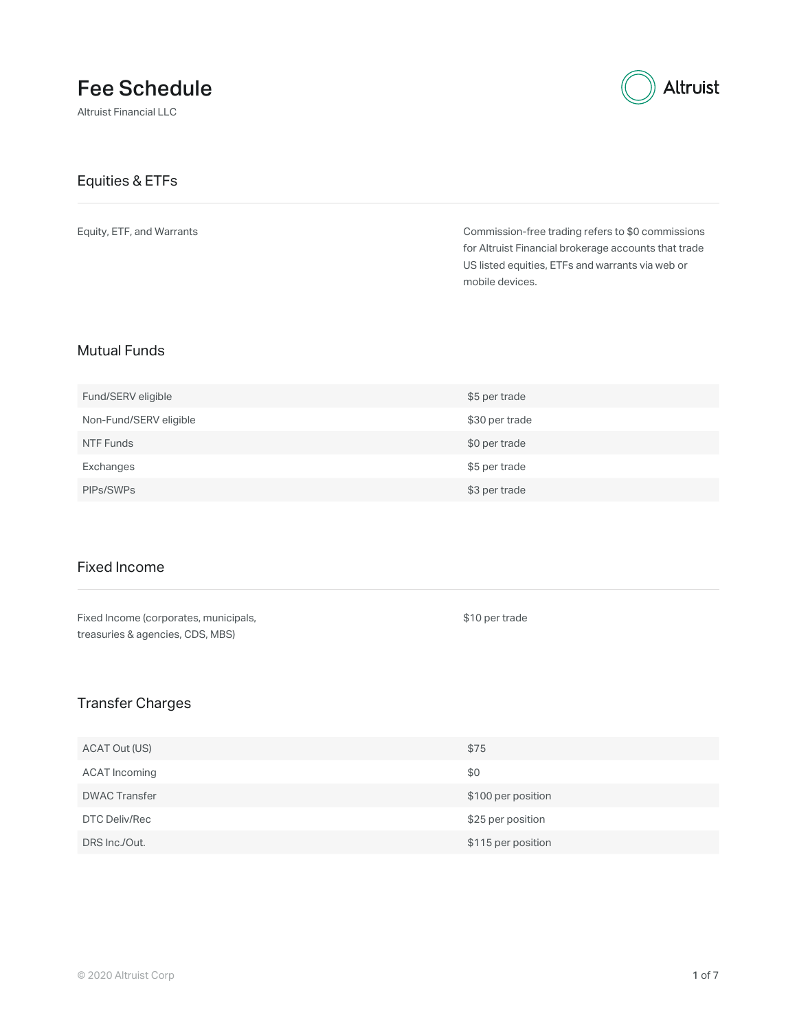# Fee Schedule

Altruist Financial LLC



#### Equities & ETFs

Equity, ETF, and Warrants

Commission-free trading refers to \$0 commissions for Altruist Financial brokerage accounts that trade US listed equities, ETFs and warrants via web or mobile devices.

### Mutual Funds

| Fund/SERV eligible     | \$5 per trade  |
|------------------------|----------------|
| Non-Fund/SERV eligible | \$30 per trade |
| NTF Funds              | \$0 per trade  |
| Exchanges              | \$5 per trade  |
| PIPs/SWPs              | \$3 per trade  |

### Fixed Income

| Fixed Income (corporates, municipals, |
|---------------------------------------|
| treasuries & agencies, CDS, MBS)      |

\$10 per trade

### Transfer Charges

| ACAT Out (US)        | \$75               |
|----------------------|--------------------|
| ACAT Incoming        | \$0                |
| <b>DWAC Transfer</b> | \$100 per position |
| DTC Deliv/Rec        | \$25 per position  |
| DRS Inc./Out.        | \$115 per position |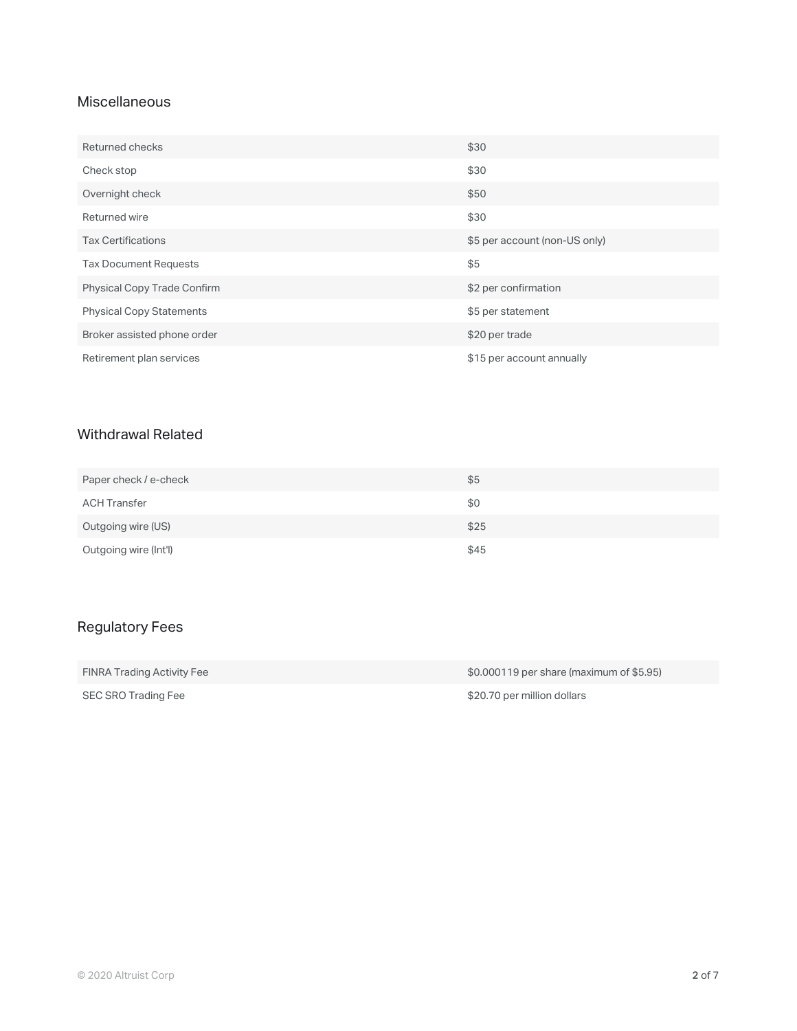### **Miscellaneous**

| Returned checks                    | \$30                          |
|------------------------------------|-------------------------------|
| Check stop                         | \$30                          |
| Overnight check                    | \$50                          |
| Returned wire                      | \$30                          |
| <b>Tax Certifications</b>          | \$5 per account (non-US only) |
| <b>Tax Document Requests</b>       | \$5                           |
| <b>Physical Copy Trade Confirm</b> | \$2 per confirmation          |
| <b>Physical Copy Statements</b>    | \$5 per statement             |
| Broker assisted phone order        | \$20 per trade                |
| Retirement plan services           | \$15 per account annually     |

### Withdrawal Related

| Paper check / e-check | \$5  |
|-----------------------|------|
| <b>ACH Transfer</b>   | \$0  |
| Outgoing wire (US)    | \$25 |
| Outgoing wire (Int'l) | \$45 |

## Regulatory Fees

| FINRA Trading Activity Fee | $$0.000119$ per share (maximum of $$5.95$ ) |
|----------------------------|---------------------------------------------|
| SEC SRO Trading Fee        | \$20.70 per million dollars                 |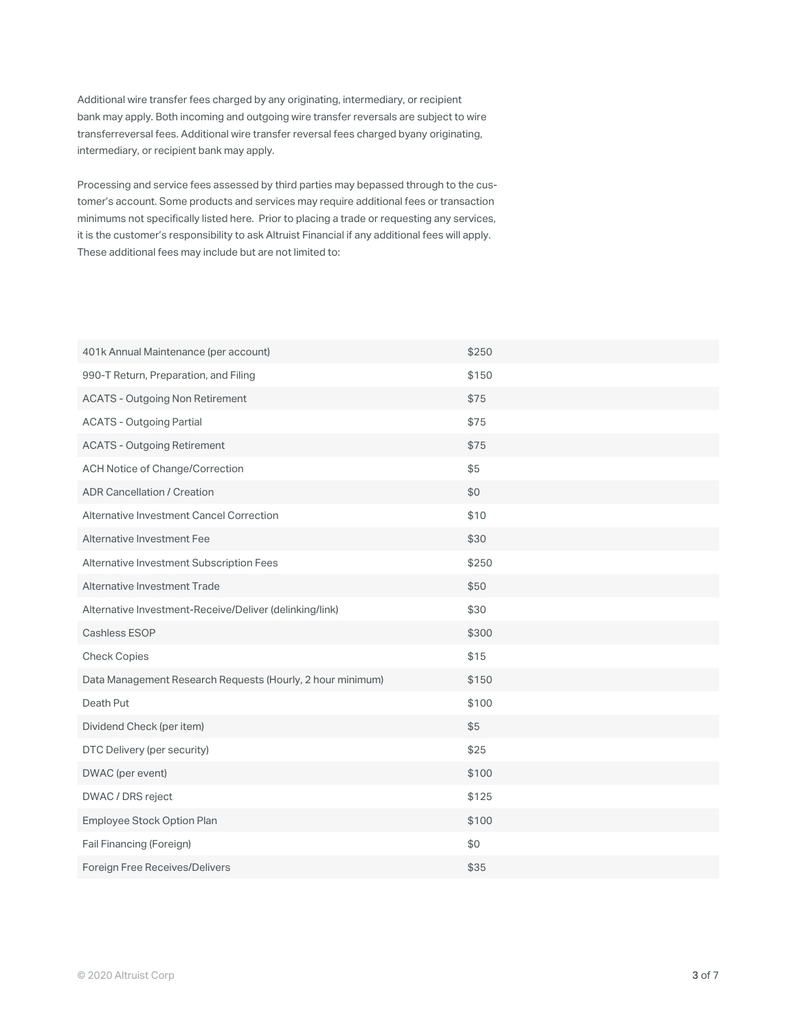Additional wire transfer fees charged by any originating, intermediary, or recipient bank may apply. Both incoming and outgoing wire transfer reversals are subject to wire transferreversal fees. Additional wire transfer reversal fees charged byany originating, intermediary, or recipient bank may apply.

Processing and service fees assessed by third parties may bepassed through to the customer's account. Some products and services may require additional fees or transaction minimums not specifically listed here. Prior to placing a trade or requesting any services, it is the customer's responsibility to ask Altruist Financial if any additional fees will apply. These additional fees may include but are not limited to:

| 401k Annual Maintenance (per account)                      | \$250 |
|------------------------------------------------------------|-------|
| 990-T Return, Preparation, and Filing                      | \$150 |
| <b>ACATS - Outgoing Non Retirement</b>                     | \$75  |
| <b>ACATS - Outgoing Partial</b>                            | \$75  |
| <b>ACATS - Outgoing Retirement</b>                         | \$75  |
| ACH Notice of Change/Correction                            | \$5   |
| <b>ADR Cancellation / Creation</b>                         | \$0   |
| Alternative Investment Cancel Correction                   | \$10  |
| Alternative Investment Fee                                 | \$30  |
| Alternative Investment Subscription Fees                   | \$250 |
| Alternative Investment Trade                               | \$50  |
| Alternative Investment-Receive/Deliver (delinking/link)    | \$30  |
| <b>Cashless ESOP</b>                                       | \$300 |
| <b>Check Copies</b>                                        | \$15  |
| Data Management Research Requests (Hourly, 2 hour minimum) | \$150 |
| Death Put                                                  | \$100 |
| Dividend Check (per item)                                  | \$5   |
| DTC Delivery (per security)                                | \$25  |
| DWAC (per event)                                           | \$100 |
| DWAC / DRS reject                                          | \$125 |
| Employee Stock Option Plan                                 | \$100 |
| Fail Financing (Foreign)                                   | \$0   |
| Foreign Free Receives/Delivers                             | \$35  |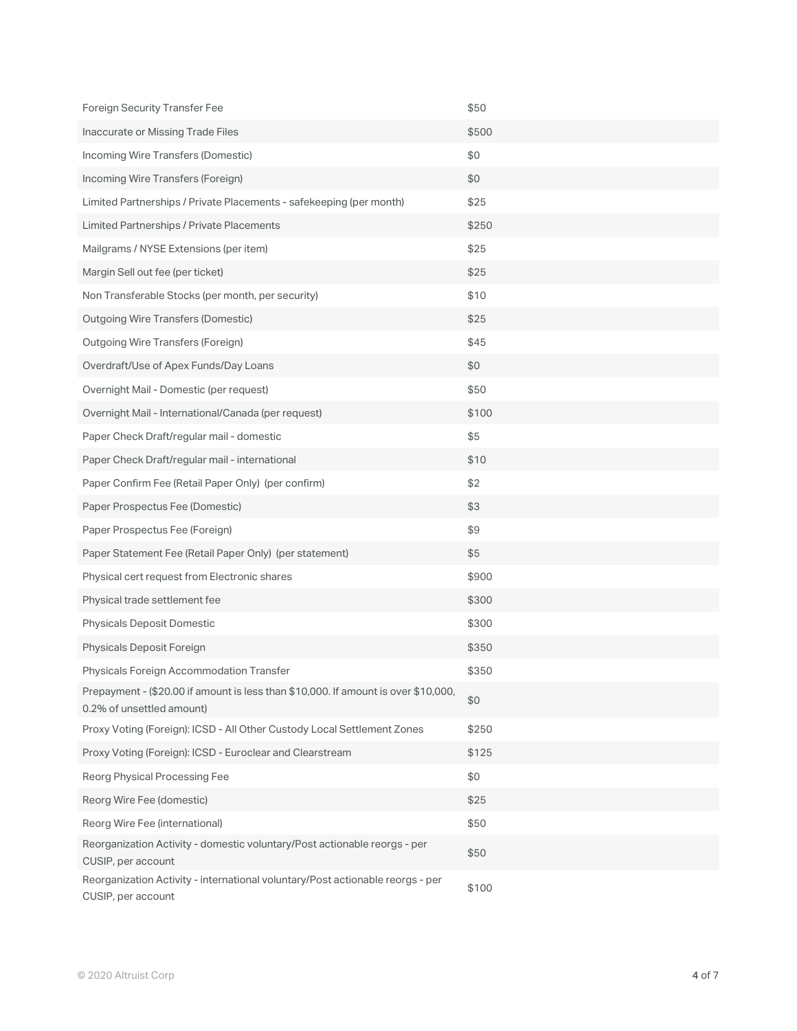| <b>Foreign Security Transfer Fee</b>                                                                            | \$50  |
|-----------------------------------------------------------------------------------------------------------------|-------|
| Inaccurate or Missing Trade Files                                                                               | \$500 |
| Incoming Wire Transfers (Domestic)                                                                              | \$0   |
| Incoming Wire Transfers (Foreign)                                                                               | \$0   |
| Limited Partnerships / Private Placements - safekeeping (per month)                                             | \$25  |
| Limited Partnerships / Private Placements                                                                       | \$250 |
| Mailgrams / NYSE Extensions (per item)                                                                          | \$25  |
| Margin Sell out fee (per ticket)                                                                                | \$25  |
| Non Transferable Stocks (per month, per security)                                                               | \$10  |
| <b>Outgoing Wire Transfers (Domestic)</b>                                                                       | \$25  |
| <b>Outgoing Wire Transfers (Foreign)</b>                                                                        | \$45  |
| Overdraft/Use of Apex Funds/Day Loans                                                                           | \$0   |
| Overnight Mail - Domestic (per request)                                                                         | \$50  |
| Overnight Mail - International/Canada (per request)                                                             | \$100 |
| Paper Check Draft/regular mail - domestic                                                                       | \$5   |
| Paper Check Draft/regular mail - international                                                                  | \$10  |
| Paper Confirm Fee (Retail Paper Only) (per confirm)                                                             | \$2   |
| Paper Prospectus Fee (Domestic)                                                                                 | \$3   |
| Paper Prospectus Fee (Foreign)                                                                                  | \$9   |
| Paper Statement Fee (Retail Paper Only) (per statement)                                                         | \$5   |
| Physical cert request from Electronic shares                                                                    | \$900 |
| Physical trade settlement fee                                                                                   | \$300 |
| <b>Physicals Deposit Domestic</b>                                                                               | \$300 |
| Physicals Deposit Foreign                                                                                       | \$350 |
| Physicals Foreign Accommodation Transfer                                                                        | \$350 |
| Prepayment - (\$20.00 if amount is less than \$10,000. If amount is over \$10,000,<br>0.2% of unsettled amount) | \$0   |
| Proxy Voting (Foreign): ICSD - All Other Custody Local Settlement Zones                                         | \$250 |
| Proxy Voting (Foreign): ICSD - Euroclear and Clearstream                                                        | \$125 |
| Reorg Physical Processing Fee                                                                                   | \$0   |
| Reorg Wire Fee (domestic)                                                                                       | \$25  |
| Reorg Wire Fee (international)                                                                                  | \$50  |
| Reorganization Activity - domestic voluntary/Post actionable reorgs - per<br>CUSIP, per account                 | \$50  |
| Reorganization Activity - international voluntary/Post actionable reorgs - per<br>CUSIP, per account            | \$100 |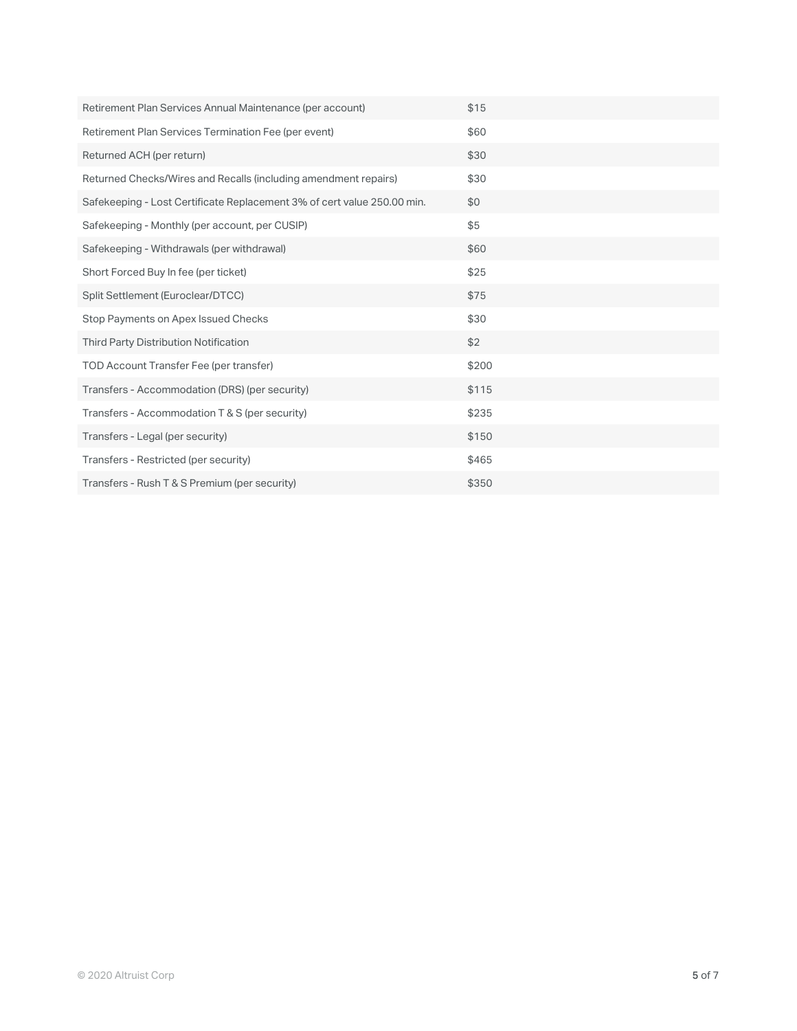| Retirement Plan Services Annual Maintenance (per account)               | \$15  |
|-------------------------------------------------------------------------|-------|
| Retirement Plan Services Termination Fee (per event)                    | \$60  |
| Returned ACH (per return)                                               | \$30  |
| Returned Checks/Wires and Recalls (including amendment repairs)         | \$30  |
| Safekeeping - Lost Certificate Replacement 3% of cert value 250.00 min. | \$0   |
| Safekeeping - Monthly (per account, per CUSIP)                          | \$5   |
| Safekeeping - Withdrawals (per withdrawal)                              | \$60  |
| Short Forced Buy In fee (per ticket)                                    | \$25  |
| Split Settlement (Euroclear/DTCC)                                       | \$75  |
| Stop Payments on Apex Issued Checks                                     | \$30  |
| Third Party Distribution Notification                                   | \$2   |
| TOD Account Transfer Fee (per transfer)                                 | \$200 |
| Transfers - Accommodation (DRS) (per security)                          | \$115 |
| Transfers - Accommodation T & S (per security)                          | \$235 |
| Transfers - Legal (per security)                                        | \$150 |
| Transfers - Restricted (per security)                                   | \$465 |
| Transfers - Rush T & S Premium (per security)                           | \$350 |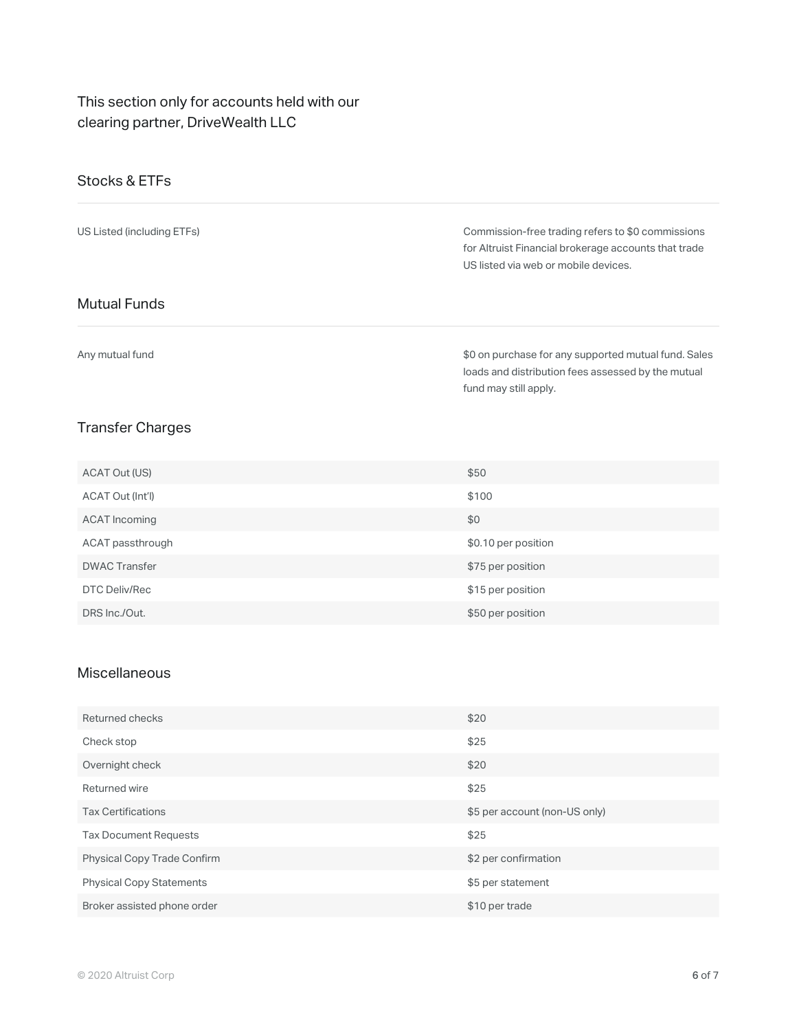### This section only for accounts held with our clearing partner, DriveWealth LLC

### Stocks & ETFs

| US Listed (including ETFs) | Commission-free trading refers to \$0 commissions<br>for Altruist Financial brokerage accounts that trade<br>US listed via web or mobile devices. |
|----------------------------|---------------------------------------------------------------------------------------------------------------------------------------------------|
| <b>Mutual Funds</b>        |                                                                                                                                                   |
| Any mutual fund            | \$0 on purchase for any supported mutual fund. Sales<br>loads and distribution fees assessed by the mutual<br>fund may still apply.               |

## Transfer Charges

| ACAT Out (US)        | \$50                |
|----------------------|---------------------|
| ACAT Out (Int'l)     | \$100               |
| ACAT Incoming        | \$0                 |
| ACAT passthrough     | \$0.10 per position |
| <b>DWAC Transfer</b> | \$75 per position   |
| DTC Deliv/Rec        | \$15 per position   |
| DRS Inc./Out.        | \$50 per position   |

#### Miscellaneous

| Returned checks                    | \$20                          |
|------------------------------------|-------------------------------|
| Check stop                         | \$25                          |
| Overnight check                    | \$20                          |
| Returned wire                      | \$25                          |
| <b>Tax Certifications</b>          | \$5 per account (non-US only) |
| <b>Tax Document Requests</b>       | \$25                          |
| <b>Physical Copy Trade Confirm</b> | \$2 per confirmation          |
| <b>Physical Copy Statements</b>    | \$5 per statement             |
| Broker assisted phone order        | \$10 per trade                |